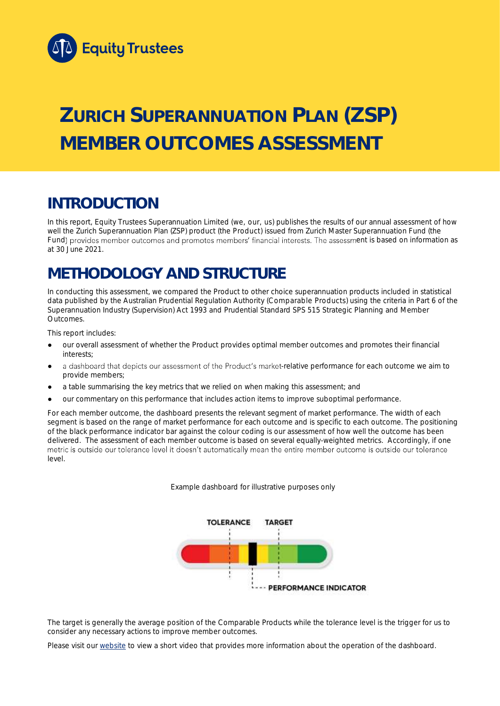

# **ZURICH SUPERANNUATION PLAN (ZSP) MEMBER OUTCOMES ASSESSMENT**

## **INTRODUCTION**

In this report, Equity Trustees Superannuation Limited (we, our, us) publishes the results of our annual assessment of how well the Zurich Superannuation Plan (ZSP) product (the Product) issued from Zurich Master Superannuation Fund (the Fund) provides member outcomes and promotes members' financial interests. The assessment is based on information as at 30 June 2021.

## **METHODOLOGY AND STRUCTURE**

In conducting this assessment, we compared the Product to other choice superannuation products included in statistical data published by the Australian Prudential Regulation Authority (Comparable Products) using the criteria in Part 6 of the *Superannuation Industry (Supervision) Act 1993* and Prudential Standard SPS 515 *Strategic Planning and Member Outcomes*.

This report includes:

- our overall assessment of whether the Product provides optimal member outcomes and promotes their financial interests;
- a dashboard that depicts our assessment of the Product's market-relative performance for each outcome we aim to provide members;
- a table summarising the key metrics that we relied on when making this assessment; and
- our commentary on this performance that includes action items to improve suboptimal performance.

For each member outcome, the dashboard presents the relevant segment of market performance. The width of each segment is based on the range of market performance for each outcome and is specific to each outcome. The positioning of the black performance indicator bar against the colour coding is our assessment of how well the outcome has been delivered. The assessment of each member outcome is based on several equally-weighted metrics. Accordingly, if one metric is outside our tolerance level it doesn't automatically mean the entire member outcome is outside our tolerance level.

*Example dashboard for illustrative purposes only*



The target is generally the average position of the Comparable Products while the tolerance level is the trigger for us to consider any necessary actions to improve member outcomes.

Please visit our [website](https://www.eqt.com.au/superannuation) to view a short video that provides more information about the operation of the dashboard.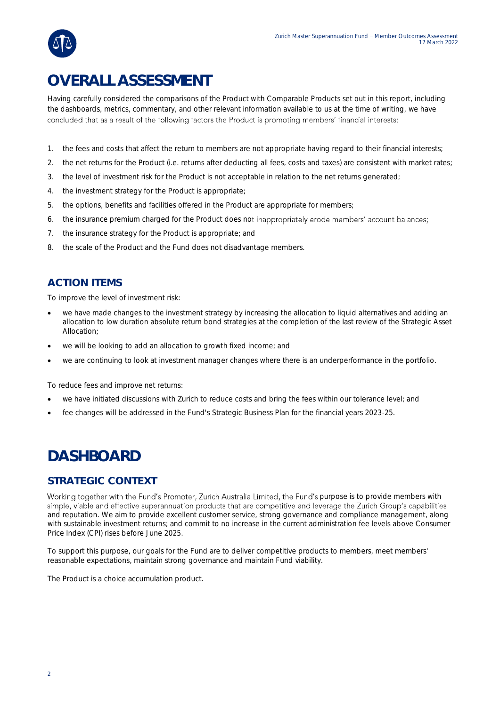

## **OVERALL ASSESSMENT**

Having carefully considered the comparisons of the Product with Comparable Products set out in this report, including the dashboards, metrics, commentary, and other relevant information available to us at the time of writing, we have concluded that as a result of the following factors the Product is promoting members' financial interests:

- 1. the fees and costs that affect the return to members are not appropriate having regard to their financial interests;
- 2. the net returns for the Product (i.e. returns after deducting all fees, costs and taxes) are consistent with market rates;
- 3. the level of investment risk for the Product is not acceptable in relation to the net returns generated;
- 4. the investment strategy for the Product is appropriate;
- 5. the options, benefits and facilities offered in the Product are appropriate for members;
- 6. the insurance premium charged for the Product does not inappropriately erode members' account balances;
- 7. the insurance strategy for the Product is appropriate; and
- 8. the scale of the Product and the Fund does not disadvantage members.

### **ACTION ITEMS**

To improve the level of investment risk:

- we have made changes to the investment strategy by increasing the allocation to liquid alternatives and adding an allocation to low duration absolute return bond strategies at the completion of the last review of the Strategic Asset Allocation;
- we will be looking to add an allocation to growth fixed income; and
- we are continuing to look at investment manager changes where there is an underperformance in the portfolio.

To reduce fees and improve net returns:

- we have initiated discussions with Zurich to reduce costs and bring the fees within our tolerance level; and
- fee changes will be addressed in the Fund's Strategic Business Plan for the financial years 2023-25.

## **DASHBOARD**

#### **STRATEGIC CONTEXT**

Working together with the Fund's Promoter, Zurich Australia Limited, the Fund's purpose is to provide members with simple, viable and effective superannuation products that are competitive and leverage the Zurich Group's capabilities and reputation. We aim to provide excellent customer service, strong governance and compliance management, along with sustainable investment returns; and commit to no increase in the current administration fee levels above Consumer Price Index (CPI) rises before June 2025.

To support this purpose, our goals for the Fund are to deliver competitive products to members, meet members' reasonable expectations, maintain strong governance and maintain Fund viability.

The Product is a choice accumulation product.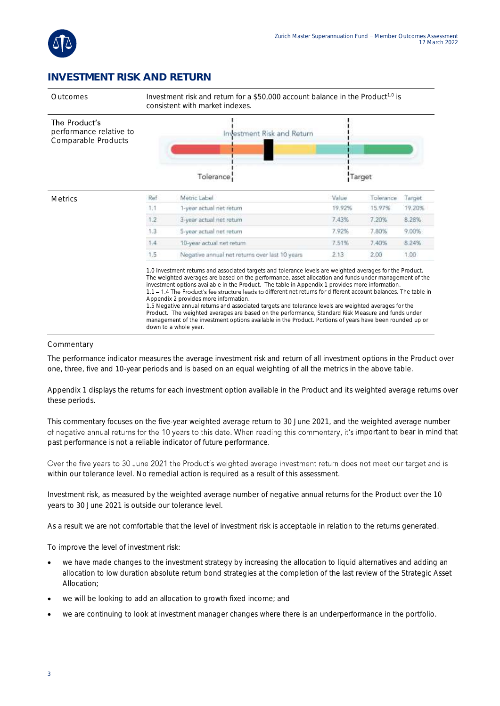

### **INVESTMENT RISK AND RETURN**



#### Commentary

The performance indicator measures the average investment risk and return of all investment options in the Product over one, three, five and 10-year periods and is based on an equal weighting of all the metrics in the above table.

Appendix 1 displays the returns for each investment option available in the Product and its weighted average returns over these periods.

This commentary focuses on the five-year weighted average return to 30 June 2021, and the weighted average number of negative annual returns for the 10 years to this date. When reading this commentary, it's important to bear in mind that past performance is not a reliable indicator of future performance.

Over the five years to 30 June 2021 the Product's weighted average investment return does not meet our target and is within our tolerance level. No remedial action is required as a result of this assessment.

Investment risk, as measured by the weighted average number of negative annual returns for the Product over the 10 years to 30 June 2021 is outside our tolerance level.

As a result we are not comfortable that the level of investment risk is acceptable in relation to the returns generated.

To improve the level of investment risk:

- we have made changes to the investment strategy by increasing the allocation to liquid alternatives and adding an allocation to low duration absolute return bond strategies at the completion of the last review of the Strategic Asset Allocation;
- we will be looking to add an allocation to growth fixed income; and
- we are continuing to look at investment manager changes where there is an underperformance in the portfolio.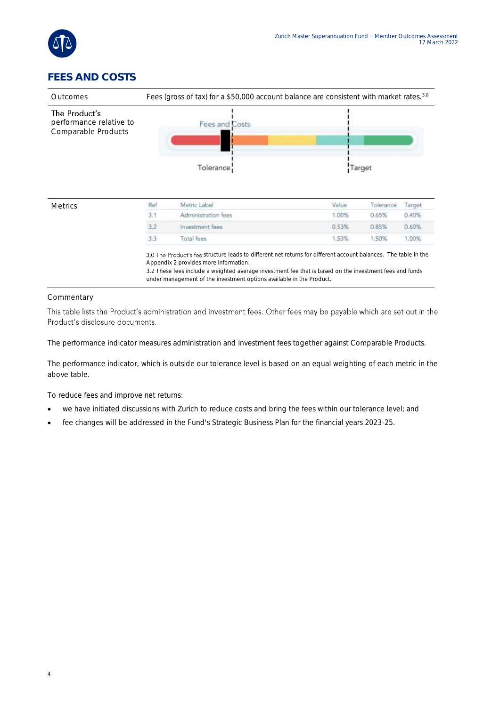

### **FEES AND COSTS**



3.0 The Product's fee structure leads to different net returns for different account balances. The table in the Appendix 2 provides more information.

3.2 These fees include a weighted average investment fee that is based on the investment fees and funds under management of the investment options available in the Product.

#### Commentary

This table lists the Product's administration and investment fees. Other fees may be payable which are set out in the Product's disclosure documents.

The performance indicator measures administration and investment fees together against Comparable Products.

The performance indicator, which is outside our tolerance level is based on an equal weighting of each metric in the above table.

To reduce fees and improve net returns:

- we have initiated discussions with Zurich to reduce costs and bring the fees within our tolerance level; and
- fee changes will be addressed in the Fund's Strategic Business Plan for the financial years 2023-25.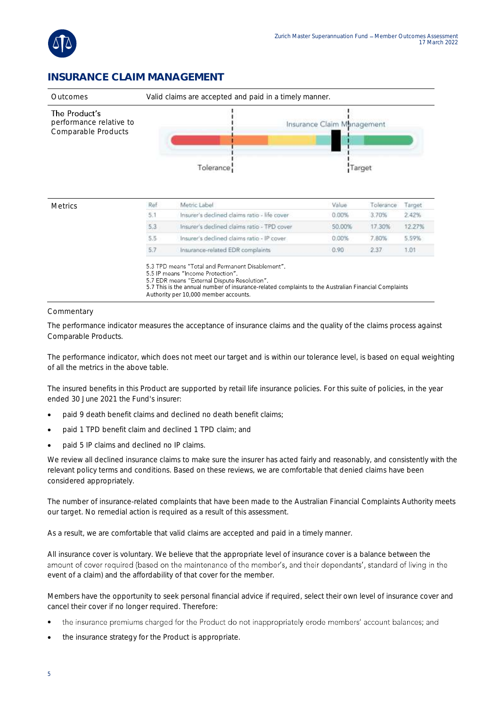

### **INSURANCE CLAIM MANAGEMENT**



| 12.27% |
|--------|
| 5.59%  |
| 1.01   |
|        |

5.3 TPD means "Total and Permanent Disablement".

5.5 IP means "Income Protection"

5.7 EDR means "External Dispute Resolution".

5.7 This is the annual number of insurance-related complaints to the Australian Financial Complaints Authority per 10,000 member accounts.

**Commentary** 

The performance indicator measures the acceptance of insurance claims and the quality of the claims process against Comparable Products.

The performance indicator, which does not meet our target and is within our tolerance level, is based on equal weighting of all the metrics in the above table.

The insured benefits in this Product are supported by retail life insurance policies. For this suite of policies, in the year ended 30 June 2021 the Fund's insurer:

- paid 9 death benefit claims and declined no death benefit claims;
- paid 1 TPD benefit claim and declined 1 TPD claim; and
- paid 5 IP claims and declined no IP claims.

We review all declined insurance claims to make sure the insurer has acted fairly and reasonably, and consistently with the relevant policy terms and conditions. Based on these reviews, we are comfortable that denied claims have been considered appropriately.

The number of insurance-related complaints that have been made to the Australian Financial Complaints Authority meets our target. No remedial action is required as a result of this assessment.

As a result, we are comfortable that valid claims are accepted and paid in a timely manner.

All insurance cover is voluntary. We believe that the appropriate level of insurance cover is a balance between the amount of cover required (based on the maintenance of the member's, and their dependants', standard of living in the event of a claim) and the affordability of that cover for the member.

Members have the opportunity to seek personal financial advice if required, select their own level of insurance cover and cancel their cover if no longer required. Therefore:

- the insurance premiums charged for the Product do not inappropriately erode members' account balances; and •
- the insurance strategy for the Product is appropriate.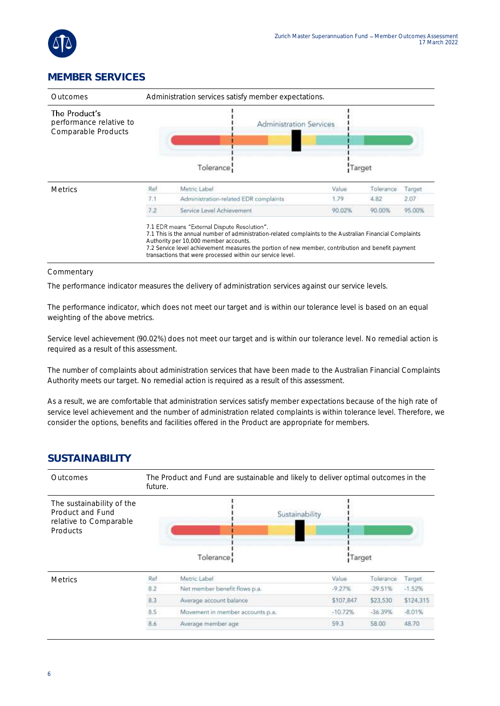

### **MEMBER SERVICES**

| Outcomes                                                        | Administration services satisfy member expectations. |                                                                                                                                                                                                                                                                                                                                                                        |        |           |        |
|-----------------------------------------------------------------|------------------------------------------------------|------------------------------------------------------------------------------------------------------------------------------------------------------------------------------------------------------------------------------------------------------------------------------------------------------------------------------------------------------------------------|--------|-----------|--------|
| The Product's<br>performance relative to<br>Comparable Products |                                                      | <b>Administration Services</b>                                                                                                                                                                                                                                                                                                                                         |        |           |        |
|                                                                 |                                                      | Tolerance <sup>1</sup>                                                                                                                                                                                                                                                                                                                                                 | Target |           |        |
| <b>Metrics</b>                                                  | Ref                                                  | Metric Label                                                                                                                                                                                                                                                                                                                                                           | Value  | Tolerance | Target |
|                                                                 | 7.1                                                  | Administration-related EDR complaints                                                                                                                                                                                                                                                                                                                                  | 1.79   | 4.82      | 2.07   |
|                                                                 | 7.2                                                  | Service Level Achievement                                                                                                                                                                                                                                                                                                                                              | 90.02% | 90.00%    | 95.00% |
|                                                                 |                                                      | 7.1 EDR means "External Dispute Resolution".<br>7.1 This is the annual number of administration-related complaints to the Australian Financial Complaints<br>Authority per 10,000 member accounts.<br>7.2 Service level achievement measures the portion of new member, contribution and benefit payment<br>transactions that were processed within our service level. |        |           |        |

#### Commentary

The performance indicator measures the delivery of administration services against our service levels.

The performance indicator, which does not meet our target and is within our tolerance level is based on an equal weighting of the above metrics.

Service level achievement (90.02%) does not meet our target and is within our tolerance level. No remedial action is required as a result of this assessment.

The number of complaints about administration services that have been made to the Australian Financial Complaints Authority meets our target. No remedial action is required as a result of this assessment.

As a result, we are comfortable that administration services satisfy member expectations because of the high rate of service level achievement and the number of administration related complaints is within tolerance level. Therefore, we consider the options, benefits and facilities offered in the Product are appropriate for members.

#### **SUSTAINABILITY**

| Outcomes                                                                            | The Product and Fund are sustainable and likely to deliver optimal outcomes in the<br>future. |                                  |           |           |           |
|-------------------------------------------------------------------------------------|-----------------------------------------------------------------------------------------------|----------------------------------|-----------|-----------|-----------|
| The sustainability of the<br>Product and Fund<br>relative to Comparable<br>Products |                                                                                               | Sustainability<br>Tolerance      | Target    |           |           |
| <b>Metrics</b>                                                                      | Ref                                                                                           | Metric Label                     | Value     | Tolerance | Target.   |
|                                                                                     | 8.2                                                                                           | Not member benefit flows p.a.    | $-9.27%$  | $-29.51%$ | $-1.52%$  |
|                                                                                     | 8.3                                                                                           | Average account balance          | \$107,847 | \$23,530  | \$124,315 |
|                                                                                     | 8.5                                                                                           | Movement in member accounts p.a. | $-10.72%$ | $-36.39%$ | $-8.01%$  |
|                                                                                     | 8.6                                                                                           | Average member age               | 59.3      | 58.00     | 48.70     |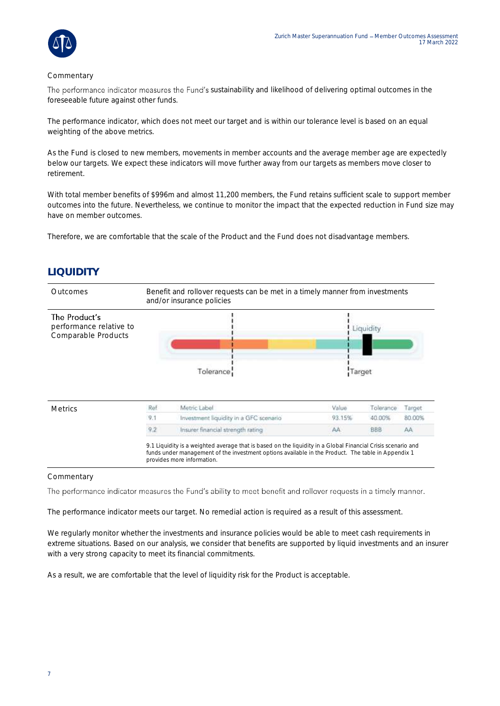

#### Commentary

The performance indicator measures the Fund's sustainability and likelihood of delivering optimal outcomes in the foreseeable future against other funds.

The performance indicator, which does not meet our target and is within our tolerance level is based on an equal weighting of the above metrics.

As the Fund is closed to new members, movements in member accounts and the average member age are expectedly below our targets. We expect these indicators will move further away from our targets as members move closer to retirement.

With total member benefits of \$996m and almost 11,200 members, the Fund retains sufficient scale to support member outcomes into the future. Nevertheless, we continue to monitor the impact that the expected reduction in Fund size may have on member outcomes.

Therefore, we are comfortable that the scale of the Product and the Fund does not disadvantage members.

### **LIQUIDITY**



#### **Commentary**

The performance indicator measures the Fund's ability to meet benefit and rollover requests in a timely manner.

The performance indicator meets our target. No remedial action is required as a result of this assessment.

We regularly monitor whether the investments and insurance policies would be able to meet cash requirements in extreme situations. Based on our analysis, we consider that benefits are supported by liquid investments and an insurer with a very strong capacity to meet its financial commitments.

As a result, we are comfortable that the level of liquidity risk for the Product is acceptable.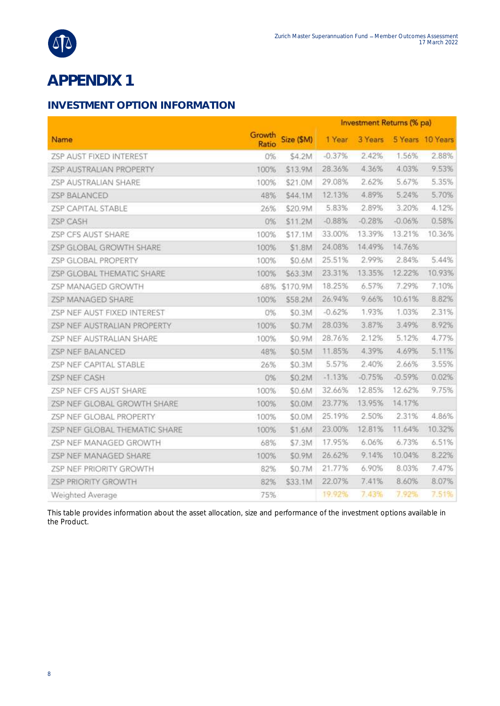

## **APPENDIX 1**

### **INVESTMENT OPTION INFORMATION**

|                                |                 |           | Investment Returns (% pa) |          |          |                  |
|--------------------------------|-----------------|-----------|---------------------------|----------|----------|------------------|
| Name                           | Growth<br>Ratio | Size (SM) | 1 Year                    | 3 Years  |          | 5 Years 10 Years |
| ZSP AUST FIXED INTEREST        | 0%              | \$4.2M    | $-0.37%$                  | 2.42%    | 1.56%    | 2.88%            |
| ZSP AUSTRALIAN PROPERTY        | 100%            | \$13.9M   | 28.36%                    | 4.36%    | 4.03%    | 9.53%            |
| ZSP AUSTRALIAN SHARE           | 100%            | \$21.0M   | 29.08%                    | 2.62%    | 5.67%    | 5.35%            |
| <b>ZSP BALANCED</b>            | 48%             | \$44.1M   | 12.13%                    | 4.89%    | 5.24%    | 5.70%            |
| <b>ZSP CAPITAL STABLE</b>      | 26%             | \$20.9M   | 5.83%                     | 2.89%    | 3.20%    | 4.12%            |
| ZSP CASH                       | 0%              | \$11.2M   | $-0.88%$                  | $-0.28%$ | $-0.06%$ | 0.58%            |
| ZSP CFS AUST SHARE             | 100%            | \$17.1M   | 33.00%                    | 13.39%   | 13.21%   | 10.36%           |
| ZSP GLOBAL GROWTH SHARE        | 100%            | \$1.8M    | 24.08%                    | 14.49%   | 14.76%   |                  |
| ZSP GLOBAL PROPERTY            | 100%            | \$0.6M    | 25.51%                    | 2.99%    | 2.84%    | 5.44%            |
| ZSP GLOBAL THEMATIC SHARE      | 100%            | \$63.3M   | 23.31%                    | 13.35%   | 12.22%   | 10.93%           |
| ZSP MANAGED GROWTH             | 68%             | \$170.9M  | 18.25%                    | 6.57%    | 7.29%    | 7,10%            |
| ZSP MANAGED SHARE              | 100%            | \$58.2M   | 26,94%                    | 9.66%    | 10.61%   | 8.82%            |
| ZSP NEF AUST FIXED INTEREST    | 0%              | \$0.3M    | $-0.62%$                  | 1.93%    | 1.03%    | 2.31%            |
| ZSP NEF AUSTRALIAN PROPERTY    | 100%            | \$0.7M    | 28.03%                    | 3.87%    | 3.49%    | 8.92%            |
| ZSP NEF AUSTRALIAN SHARE       | 100%            | \$0.9M    | 28.76%                    | 2.12%    | 5.12%    | 4.77%            |
| ZSP NEF BALANCED               | 48%             | \$0.5M    | 11.85%                    | 4.39%    | 4.69%    | 5.11%            |
| ZSP NEF CAPITAL STABLE         | 26%             | \$0.3M    | 5.57%                     | 2.40%    | 2.66%    | 3.55%            |
| ZSP NEF CASH                   | 0%              | \$0.2M    | $-1.13%$                  | $-0.75%$ | $-0.59%$ | 0.02%            |
| ZSP NEF CFS AUST SHARE         | 100%            | \$0.6M    | 32.66%                    | 12.85%   | 12.62%   | 9.75%            |
| ZSP NEF GLOBAL GROWTH SHARE    | 100%            | \$0.0M    | 23.77%                    | 13.95%   | 14.17%   |                  |
| ZSP NEF GLOBAL PROPERTY        | 100%            | \$0.0M    | 25.19%                    | 2.50%    | 2.31%    | 4.86%            |
| ZSP NEF GLOBAL THEMATIC SHARE  | 100%            | \$1.6M    | 23.00%                    | 12.81%   | 11.64%   | 10.32%           |
| ZSP NEF MANAGED GROWTH         | 68%             | \$7.3M    | 17.95%                    | 6.06%    | 6.73%    | 6.51%            |
| ZSP NEF MANAGED SHARE          | 100%            | \$0.9M    | 26.62%                    | 9.14%    | 10.04%   | 8.22%            |
| <b>ZSP NEF PRIORITY GROWTH</b> | 82%             | \$0.7M    | 21.77%                    | 6.90%    | 8.03%    | 7.47%            |
| <b>ZSP PRIORITY GROWTH</b>     | 82%             | \$33.1M   | 22.07%                    | 7.41%    | 8.60%    | 8.07%            |
| Weighted Average               | 75%             |           | 19.92%                    | 7.43%    | 7.92%    | 7.51%            |

This table provides information about the asset allocation, size and performance of the investment options available in the Product.